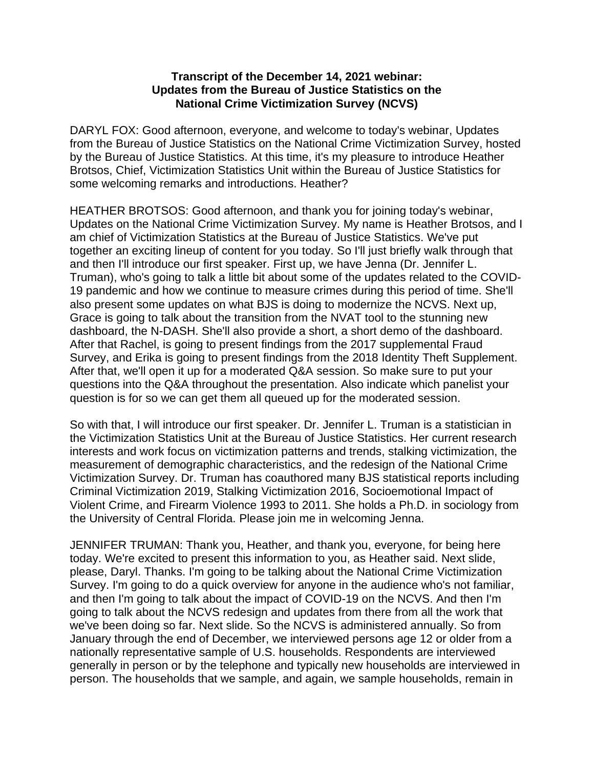## **Transcript of the December 14, 2021 webinar: Updates from the Bureau of Justice Statistics on the National Crime Victimization Survey (NCVS)**

DARYL FOX: Good afternoon, everyone, and welcome to today's webinar, Updates from the Bureau of Justice Statistics on the National Crime Victimization Survey, hosted by the Bureau of Justice Statistics. At this time, it's my pleasure to introduce Heather Brotsos, Chief, Victimization Statistics Unit within the Bureau of Justice Statistics for some welcoming remarks and introductions. Heather?

HEATHER BROTSOS: Good afternoon, and thank you for joining today's webinar, Updates on the National Crime Victimization Survey. My name is Heather Brotsos, and I am chief of Victimization Statistics at the Bureau of Justice Statistics. We've put together an exciting lineup of content for you today. So I'll just briefly walk through that and then I'll introduce our first speaker. First up, we have Jenna (Dr. Jennifer L. Truman), who's going to talk a little bit about some of the updates related to the COVID-19 pandemic and how we continue to measure crimes during this period of time. She'll also present some updates on what BJS is doing to modernize the NCVS. Next up, Grace is going to talk about the transition from the NVAT tool to the stunning new dashboard, the N-DASH. She'll also provide a short, a short demo of the dashboard. After that Rachel, is going to present findings from the 2017 supplemental Fraud Survey, and Erika is going to present findings from the 2018 Identity Theft Supplement. After that, we'll open it up for a moderated Q&A session. So make sure to put your questions into the Q&A throughout the presentation. Also indicate which panelist your question is for so we can get them all queued up for the moderated session.

So with that, I will introduce our first speaker. Dr. Jennifer L. Truman is a statistician in the Victimization Statistics Unit at the Bureau of Justice Statistics. Her current research interests and work focus on victimization patterns and trends, stalking victimization, the measurement of demographic characteristics, and the redesign of the National Crime Victimization Survey. Dr. Truman has coauthored many BJS statistical reports including Criminal Victimization 2019, Stalking Victimization 2016, Socioemotional Impact of Violent Crime, and Firearm Violence 1993 to 2011. She holds a Ph.D. in sociology from the University of Central Florida. Please join me in welcoming Jenna.

JENNIFER TRUMAN: Thank you, Heather, and thank you, everyone, for being here today. We're excited to present this information to you, as Heather said. Next slide, please, Daryl. Thanks. I'm going to be talking about the National Crime Victimization Survey. I'm going to do a quick overview for anyone in the audience who's not familiar, and then I'm going to talk about the impact of COVID-19 on the NCVS. And then I'm going to talk about the NCVS redesign and updates from there from all the work that we've been doing so far. Next slide. So the NCVS is administered annually. So from January through the end of December, we interviewed persons age 12 or older from a nationally representative sample of U.S. households. Respondents are interviewed generally in person or by the telephone and typically new households are interviewed in person. The households that we sample, and again, we sample households, remain in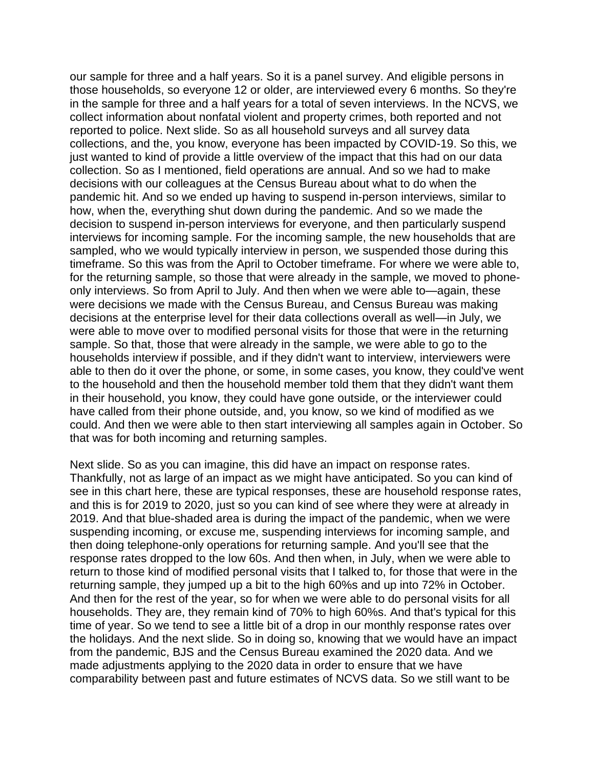our sample for three and a half years. So it is a panel survey. And eligible persons in those households, so everyone 12 or older, are interviewed every 6 months. So they're in the sample for three and a half years for a total of seven interviews. In the NCVS, we collect information about nonfatal violent and property crimes, both reported and not reported to police. Next slide. So as all household surveys and all survey data collections, and the, you know, everyone has been impacted by COVID-19. So this, we just wanted to kind of provide a little overview of the impact that this had on our data collection. So as I mentioned, field operations are annual. And so we had to make decisions with our colleagues at the Census Bureau about what to do when the pandemic hit. And so we ended up having to suspend in-person interviews, similar to how, when the, everything shut down during the pandemic. And so we made the decision to suspend in-person interviews for everyone, and then particularly suspend interviews for incoming sample. For the incoming sample, the new households that are sampled, who we would typically interview in person, we suspended those during this timeframe. So this was from the April to October timeframe. For where we were able to, for the returning sample, so those that were already in the sample, we moved to phoneonly interviews. So from April to July. And then when we were able to—again, these were decisions we made with the Census Bureau, and Census Bureau was making decisions at the enterprise level for their data collections overall as well—in July, we were able to move over to modified personal visits for those that were in the returning sample. So that, those that were already in the sample, we were able to go to the households interview if possible, and if they didn't want to interview, interviewers were able to then do it over the phone, or some, in some cases, you know, they could've went to the household and then the household member told them that they didn't want them in their household, you know, they could have gone outside, or the interviewer could have called from their phone outside, and, you know, so we kind of modified as we could. And then we were able to then start interviewing all samples again in October. So that was for both incoming and returning samples.

Next slide. So as you can imagine, this did have an impact on response rates. Thankfully, not as large of an impact as we might have anticipated. So you can kind of see in this chart here, these are typical responses, these are household response rates, and this is for 2019 to 2020, just so you can kind of see where they were at already in 2019. And that blue-shaded area is during the impact of the pandemic, when we were suspending incoming, or excuse me, suspending interviews for incoming sample, and then doing telephone-only operations for returning sample. And you'll see that the response rates dropped to the low 60s. And then when, in July, when we were able to return to those kind of modified personal visits that I talked to, for those that were in the returning sample, they jumped up a bit to the high 60%s and up into 72% in October. And then for the rest of the year, so for when we were able to do personal visits for all households. They are, they remain kind of 70% to high 60%s. And that's typical for this time of year. So we tend to see a little bit of a drop in our monthly response rates over the holidays. And the next slide. So in doing so, knowing that we would have an impact from the pandemic, BJS and the Census Bureau examined the 2020 data. And we made adjustments applying to the 2020 data in order to ensure that we have comparability between past and future estimates of NCVS data. So we still want to be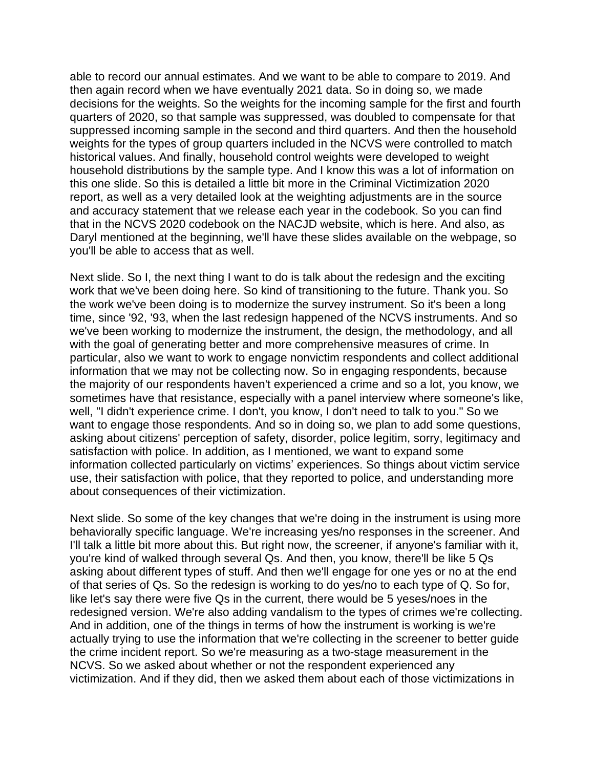able to record our annual estimates. And we want to be able to compare to 2019. And then again record when we have eventually 2021 data. So in doing so, we made decisions for the weights. So the weights for the incoming sample for the first and fourth quarters of 2020, so that sample was suppressed, was doubled to compensate for that suppressed incoming sample in the second and third quarters. And then the household weights for the types of group quarters included in the NCVS were controlled to match historical values. And finally, household control weights were developed to weight household distributions by the sample type. And I know this was a lot of information on this one slide. So this is detailed a little bit more in the Criminal Victimization 2020 report, as well as a very detailed look at the weighting adjustments are in the source and accuracy statement that we release each year in the codebook. So you can find that in the NCVS 2020 codebook on the NACJD website, which is here. And also, as Daryl mentioned at the beginning, we'll have these slides available on the webpage, so you'll be able to access that as well.

Next slide. So I, the next thing I want to do is talk about the redesign and the exciting work that we've been doing here. So kind of transitioning to the future. Thank you. So the work we've been doing is to modernize the survey instrument. So it's been a long time, since '92, '93, when the last redesign happened of the NCVS instruments. And so we've been working to modernize the instrument, the design, the methodology, and all with the goal of generating better and more comprehensive measures of crime. In particular, also we want to work to engage nonvictim respondents and collect additional information that we may not be collecting now. So in engaging respondents, because the majority of our respondents haven't experienced a crime and so a lot, you know, we sometimes have that resistance, especially with a panel interview where someone's like, well, "I didn't experience crime. I don't, you know, I don't need to talk to you." So we want to engage those respondents. And so in doing so, we plan to add some questions, asking about citizens' perception of safety, disorder, police legitim, sorry, legitimacy and satisfaction with police. In addition, as I mentioned, we want to expand some information collected particularly on victims' experiences. So things about victim service use, their satisfaction with police, that they reported to police, and understanding more about consequences of their victimization.

Next slide. So some of the key changes that we're doing in the instrument is using more behaviorally specific language. We're increasing yes/no responses in the screener. And I'll talk a little bit more about this. But right now, the screener, if anyone's familiar with it, you're kind of walked through several Qs. And then, you know, there'll be like 5 Qs asking about different types of stuff. And then we'll engage for one yes or no at the end of that series of Qs. So the redesign is working to do yes/no to each type of Q. So for, like let's say there were five Qs in the current, there would be 5 yeses/noes in the redesigned version. We're also adding vandalism to the types of crimes we're collecting. And in addition, one of the things in terms of how the instrument is working is we're actually trying to use the information that we're collecting in the screener to better guide the crime incident report. So we're measuring as a two-stage measurement in the NCVS. So we asked about whether or not the respondent experienced any victimization. And if they did, then we asked them about each of those victimizations in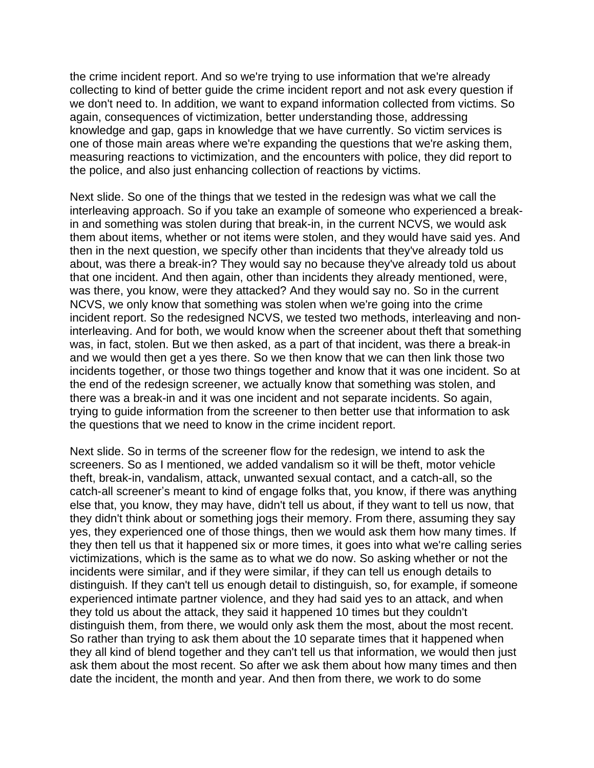the crime incident report. And so we're trying to use information that we're already collecting to kind of better guide the crime incident report and not ask every question if we don't need to. In addition, we want to expand information collected from victims. So again, consequences of victimization, better understanding those, addressing knowledge and gap, gaps in knowledge that we have currently. So victim services is one of those main areas where we're expanding the questions that we're asking them, measuring reactions to victimization, and the encounters with police, they did report to the police, and also just enhancing collection of reactions by victims.

Next slide. So one of the things that we tested in the redesign was what we call the interleaving approach. So if you take an example of someone who experienced a breakin and something was stolen during that break-in, in the current NCVS, we would ask them about items, whether or not items were stolen, and they would have said yes. And then in the next question, we specify other than incidents that they've already told us about, was there a break-in? They would say no because they've already told us about that one incident. And then again, other than incidents they already mentioned, were, was there, you know, were they attacked? And they would say no. So in the current NCVS, we only know that something was stolen when we're going into the crime incident report. So the redesigned NCVS, we tested two methods, interleaving and noninterleaving. And for both, we would know when the screener about theft that something was, in fact, stolen. But we then asked, as a part of that incident, was there a break-in and we would then get a yes there. So we then know that we can then link those two incidents together, or those two things together and know that it was one incident. So at the end of the redesign screener, we actually know that something was stolen, and there was a break-in and it was one incident and not separate incidents. So again, trying to guide information from the screener to then better use that information to ask the questions that we need to know in the crime incident report.

Next slide. So in terms of the screener flow for the redesign, we intend to ask the screeners. So as I mentioned, we added vandalism so it will be theft, motor vehicle theft, break-in, vandalism, attack, unwanted sexual contact, and a catch-all, so the catch-all screener's meant to kind of engage folks that, you know, if there was anything else that, you know, they may have, didn't tell us about, if they want to tell us now, that they didn't think about or something jogs their memory. From there, assuming they say yes, they experienced one of those things, then we would ask them how many times. If they then tell us that it happened six or more times, it goes into what we're calling series victimizations, which is the same as to what we do now. So asking whether or not the incidents were similar, and if they were similar, if they can tell us enough details to distinguish. If they can't tell us enough detail to distinguish, so, for example, if someone experienced intimate partner violence, and they had said yes to an attack, and when they told us about the attack, they said it happened 10 times but they couldn't distinguish them, from there, we would only ask them the most, about the most recent. So rather than trying to ask them about the 10 separate times that it happened when they all kind of blend together and they can't tell us that information, we would then just ask them about the most recent. So after we ask them about how many times and then date the incident, the month and year. And then from there, we work to do some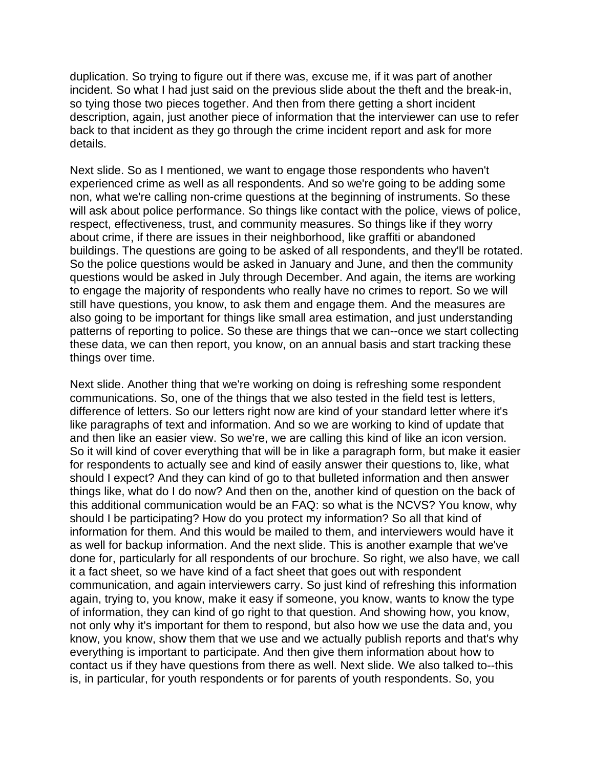duplication. So trying to figure out if there was, excuse me, if it was part of another incident. So what I had just said on the previous slide about the theft and the break-in, so tying those two pieces together. And then from there getting a short incident description, again, just another piece of information that the interviewer can use to refer back to that incident as they go through the crime incident report and ask for more details.

Next slide. So as I mentioned, we want to engage those respondents who haven't experienced crime as well as all respondents. And so we're going to be adding some non, what we're calling non-crime questions at the beginning of instruments. So these will ask about police performance. So things like contact with the police, views of police, respect, effectiveness, trust, and community measures. So things like if they worry about crime, if there are issues in their neighborhood, like graffiti or abandoned buildings. The questions are going to be asked of all respondents, and they'll be rotated. So the police questions would be asked in January and June, and then the community questions would be asked in July through December. And again, the items are working to engage the majority of respondents who really have no crimes to report. So we will still have questions, you know, to ask them and engage them. And the measures are also going to be important for things like small area estimation, and just understanding patterns of reporting to police. So these are things that we can--once we start collecting these data, we can then report, you know, on an annual basis and start tracking these things over time.

Next slide. Another thing that we're working on doing is refreshing some respondent communications. So, one of the things that we also tested in the field test is letters, difference of letters. So our letters right now are kind of your standard letter where it's like paragraphs of text and information. And so we are working to kind of update that and then like an easier view. So we're, we are calling this kind of like an icon version. So it will kind of cover everything that will be in like a paragraph form, but make it easier for respondents to actually see and kind of easily answer their questions to, like, what should I expect? And they can kind of go to that bulleted information and then answer things like, what do I do now? And then on the, another kind of question on the back of this additional communication would be an FAQ: so what is the NCVS? You know, why should I be participating? How do you protect my information? So all that kind of information for them. And this would be mailed to them, and interviewers would have it as well for backup information. And the next slide. This is another example that we've done for, particularly for all respondents of our brochure. So right, we also have, we call it a fact sheet, so we have kind of a fact sheet that goes out with respondent communication, and again interviewers carry. So just kind of refreshing this information again, trying to, you know, make it easy if someone, you know, wants to know the type of information, they can kind of go right to that question. And showing how, you know, not only why it's important for them to respond, but also how we use the data and, you know, you know, show them that we use and we actually publish reports and that's why everything is important to participate. And then give them information about how to contact us if they have questions from there as well. Next slide. We also talked to--this is, in particular, for youth respondents or for parents of youth respondents. So, you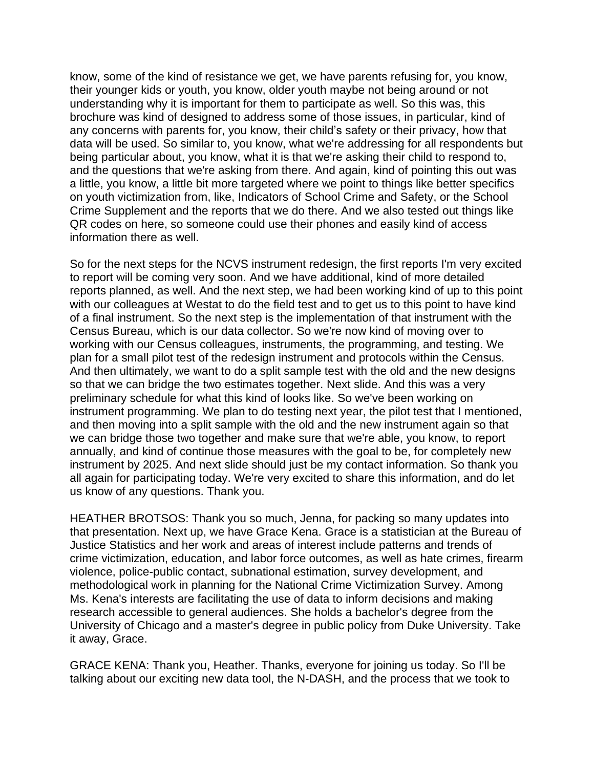know, some of the kind of resistance we get, we have parents refusing for, you know, their younger kids or youth, you know, older youth maybe not being around or not understanding why it is important for them to participate as well. So this was, this brochure was kind of designed to address some of those issues, in particular, kind of any concerns with parents for, you know, their child's safety or their privacy, how that data will be used. So similar to, you know, what we're addressing for all respondents but being particular about, you know, what it is that we're asking their child to respond to, and the questions that we're asking from there. And again, kind of pointing this out was a little, you know, a little bit more targeted where we point to things like better specifics on youth victimization from, like, Indicators of School Crime and Safety, or the School Crime Supplement and the reports that we do there. And we also tested out things like QR codes on here, so someone could use their phones and easily kind of access information there as well.

So for the next steps for the NCVS instrument redesign, the first reports I'm very excited to report will be coming very soon. And we have additional, kind of more detailed reports planned, as well. And the next step, we had been working kind of up to this point with our colleagues at Westat to do the field test and to get us to this point to have kind of a final instrument. So the next step is the implementation of that instrument with the Census Bureau, which is our data collector. So we're now kind of moving over to working with our Census colleagues, instruments, the programming, and testing. We plan for a small pilot test of the redesign instrument and protocols within the Census. And then ultimately, we want to do a split sample test with the old and the new designs so that we can bridge the two estimates together. Next slide. And this was a very preliminary schedule for what this kind of looks like. So we've been working on instrument programming. We plan to do testing next year, the pilot test that I mentioned, and then moving into a split sample with the old and the new instrument again so that we can bridge those two together and make sure that we're able, you know, to report annually, and kind of continue those measures with the goal to be, for completely new instrument by 2025. And next slide should just be my contact information. So thank you all again for participating today. We're very excited to share this information, and do let us know of any questions. Thank you.

HEATHER BROTSOS: Thank you so much, Jenna, for packing so many updates into that presentation. Next up, we have Grace Kena. Grace is a statistician at the Bureau of Justice Statistics and her work and areas of interest include patterns and trends of crime victimization, education, and labor force outcomes, as well as hate crimes, firearm violence, police-public contact, subnational estimation, survey development, and methodological work in planning for the National Crime Victimization Survey. Among Ms. Kena's interests are facilitating the use of data to inform decisions and making research accessible to general audiences. She holds a bachelor's degree from the University of Chicago and a master's degree in public policy from Duke University. Take it away, Grace.

GRACE KENA: Thank you, Heather. Thanks, everyone for joining us today. So I'll be talking about our exciting new data tool, the N-DASH, and the process that we took to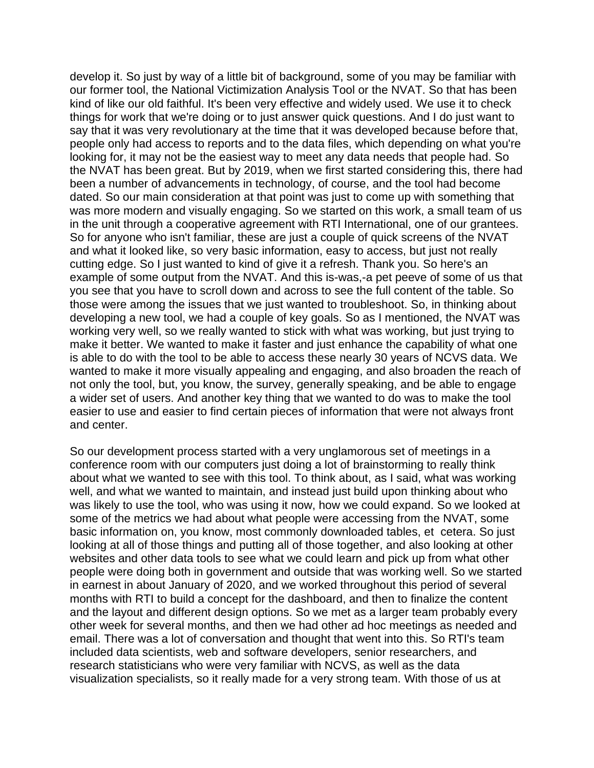develop it. So just by way of a little bit of background, some of you may be familiar with our former tool, the National Victimization Analysis Tool or the NVAT. So that has been kind of like our old faithful. It's been very effective and widely used. We use it to check things for work that we're doing or to just answer quick questions. And I do just want to say that it was very revolutionary at the time that it was developed because before that, people only had access to reports and to the data files, which depending on what you're looking for, it may not be the easiest way to meet any data needs that people had. So the NVAT has been great. But by 2019, when we first started considering this, there had been a number of advancements in technology, of course, and the tool had become dated. So our main consideration at that point was just to come up with something that was more modern and visually engaging. So we started on this work, a small team of us in the unit through a cooperative agreement with RTI International, one of our grantees. So for anyone who isn't familiar, these are just a couple of quick screens of the NVAT and what it looked like, so very basic information, easy to access, but just not really cutting edge. So I just wanted to kind of give it a refresh. Thank you. So here's an example of some output from the NVAT. And this is-was,-a pet peeve of some of us that you see that you have to scroll down and across to see the full content of the table. So those were among the issues that we just wanted to troubleshoot. So, in thinking about developing a new tool, we had a couple of key goals. So as I mentioned, the NVAT was working very well, so we really wanted to stick with what was working, but just trying to make it better. We wanted to make it faster and just enhance the capability of what one is able to do with the tool to be able to access these nearly 30 years of NCVS data. We wanted to make it more visually appealing and engaging, and also broaden the reach of not only the tool, but, you know, the survey, generally speaking, and be able to engage a wider set of users. And another key thing that we wanted to do was to make the tool easier to use and easier to find certain pieces of information that were not always front and center.

So our development process started with a very unglamorous set of meetings in a conference room with our computers just doing a lot of brainstorming to really think about what we wanted to see with this tool. To think about, as I said, what was working well, and what we wanted to maintain, and instead just build upon thinking about who was likely to use the tool, who was using it now, how we could expand. So we looked at some of the metrics we had about what people were accessing from the NVAT, some basic information on, you know, most commonly downloaded tables, et cetera. So just looking at all of those things and putting all of those together, and also looking at other websites and other data tools to see what we could learn and pick up from what other people were doing both in government and outside that was working well. So we started in earnest in about January of 2020, and we worked throughout this period of several months with RTI to build a concept for the dashboard, and then to finalize the content and the layout and different design options. So we met as a larger team probably every other week for several months, and then we had other ad hoc meetings as needed and email. There was a lot of conversation and thought that went into this. So RTI's team included data scientists, web and software developers, senior researchers, and research statisticians who were very familiar with NCVS, as well as the data visualization specialists, so it really made for a very strong team. With those of us at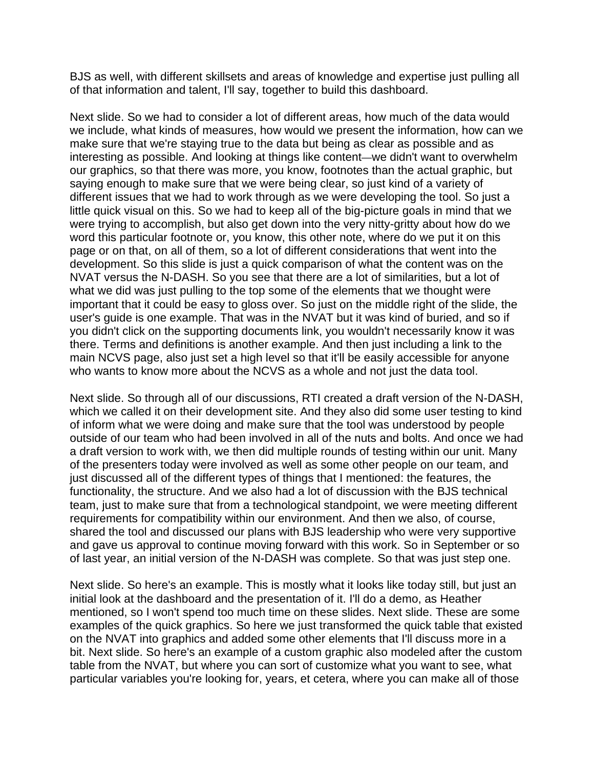BJS as well, with different skillsets and areas of knowledge and expertise just pulling all of that information and talent, I'll say, together to build this dashboard.

Next slide. So we had to consider a lot of different areas, how much of the data would we include, what kinds of measures, how would we present the information, how can we make sure that we're staying true to the data but being as clear as possible and as interesting as possible. And looking at things like content—we didn't want to overwhelm our graphics, so that there was more, you know, footnotes than the actual graphic, but saying enough to make sure that we were being clear, so just kind of a variety of different issues that we had to work through as we were developing the tool. So just a little quick visual on this. So we had to keep all of the big-picture goals in mind that we were trying to accomplish, but also get down into the very nitty-gritty about how do we word this particular footnote or, you know, this other note, where do we put it on this page or on that, on all of them, so a lot of different considerations that went into the development. So this slide is just a quick comparison of what the content was on the NVAT versus the N-DASH. So you see that there are a lot of similarities, but a lot of what we did was just pulling to the top some of the elements that we thought were important that it could be easy to gloss over. So just on the middle right of the slide, the user's guide is one example. That was in the NVAT but it was kind of buried, and so if you didn't click on the supporting documents link, you wouldn't necessarily know it was there. Terms and definitions is another example. And then just including a link to the main NCVS page, also just set a high level so that it'll be easily accessible for anyone who wants to know more about the NCVS as a whole and not just the data tool.

Next slide. So through all of our discussions, RTI created a draft version of the N-DASH, which we called it on their development site. And they also did some user testing to kind of inform what we were doing and make sure that the tool was understood by people outside of our team who had been involved in all of the nuts and bolts. And once we had a draft version to work with, we then did multiple rounds of testing within our unit. Many of the presenters today were involved as well as some other people on our team, and just discussed all of the different types of things that I mentioned: the features, the functionality, the structure. And we also had a lot of discussion with the BJS technical team, just to make sure that from a technological standpoint, we were meeting different requirements for compatibility within our environment. And then we also, of course, shared the tool and discussed our plans with BJS leadership who were very supportive and gave us approval to continue moving forward with this work. So in September or so of last year, an initial version of the N-DASH was complete. So that was just step one.

Next slide. So here's an example. This is mostly what it looks like today still, but just an initial look at the dashboard and the presentation of it. I'll do a demo, as Heather mentioned, so I won't spend too much time on these slides. Next slide. These are some examples of the quick graphics. So here we just transformed the quick table that existed on the NVAT into graphics and added some other elements that I'll discuss more in a bit. Next slide. So here's an example of a custom graphic also modeled after the custom table from the NVAT, but where you can sort of customize what you want to see, what particular variables you're looking for, years, et cetera, where you can make all of those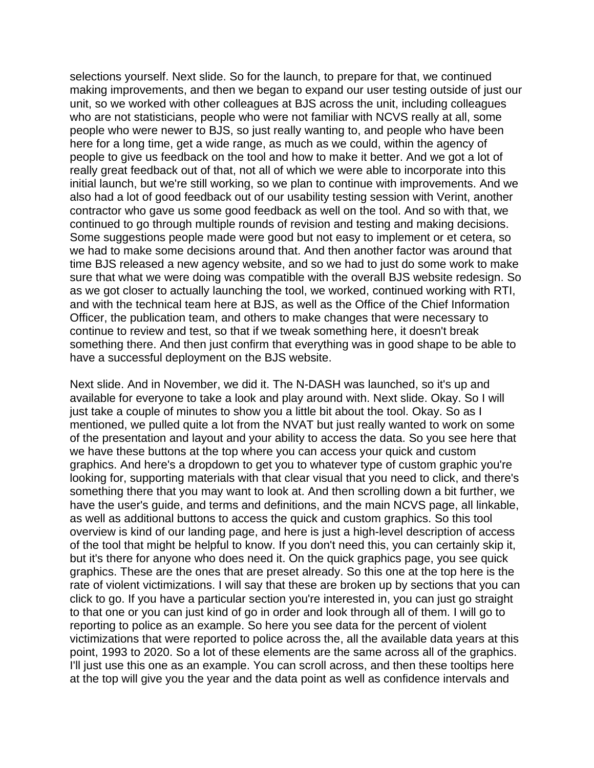selections yourself. Next slide. So for the launch, to prepare for that, we continued making improvements, and then we began to expand our user testing outside of just our unit, so we worked with other colleagues at BJS across the unit, including colleagues who are not statisticians, people who were not familiar with NCVS really at all, some people who were newer to BJS, so just really wanting to, and people who have been here for a long time, get a wide range, as much as we could, within the agency of people to give us feedback on the tool and how to make it better. And we got a lot of really great feedback out of that, not all of which we were able to incorporate into this initial launch, but we're still working, so we plan to continue with improvements. And we also had a lot of good feedback out of our usability testing session with Verint, another contractor who gave us some good feedback as well on the tool. And so with that, we continued to go through multiple rounds of revision and testing and making decisions. Some suggestions people made were good but not easy to implement or et cetera, so we had to make some decisions around that. And then another factor was around that time BJS released a new agency website, and so we had to just do some work to make sure that what we were doing was compatible with the overall BJS website redesign. So as we got closer to actually launching the tool, we worked, continued working with RTI, and with the technical team here at BJS, as well as the Office of the Chief Information Officer, the publication team, and others to make changes that were necessary to continue to review and test, so that if we tweak something here, it doesn't break something there. And then just confirm that everything was in good shape to be able to have a successful deployment on the BJS website.

Next slide. And in November, we did it. The N-DASH was launched, so it's up and available for everyone to take a look and play around with. Next slide. Okay. So I will just take a couple of minutes to show you a little bit about the tool. Okay. So as I mentioned, we pulled quite a lot from the NVAT but just really wanted to work on some of the presentation and layout and your ability to access the data. So you see here that we have these buttons at the top where you can access your quick and custom graphics. And here's a dropdown to get you to whatever type of custom graphic you're looking for, supporting materials with that clear visual that you need to click, and there's something there that you may want to look at. And then scrolling down a bit further, we have the user's guide, and terms and definitions, and the main NCVS page, all linkable, as well as additional buttons to access the quick and custom graphics. So this tool overview is kind of our landing page, and here is just a high-level description of access of the tool that might be helpful to know. If you don't need this, you can certainly skip it, but it's there for anyone who does need it. On the quick graphics page, you see quick graphics. These are the ones that are preset already. So this one at the top here is the rate of violent victimizations. I will say that these are broken up by sections that you can click to go. If you have a particular section you're interested in, you can just go straight to that one or you can just kind of go in order and look through all of them. I will go to reporting to police as an example. So here you see data for the percent of violent victimizations that were reported to police across the, all the available data years at this point, 1993 to 2020. So a lot of these elements are the same across all of the graphics. I'll just use this one as an example. You can scroll across, and then these tooltips here at the top will give you the year and the data point as well as confidence intervals and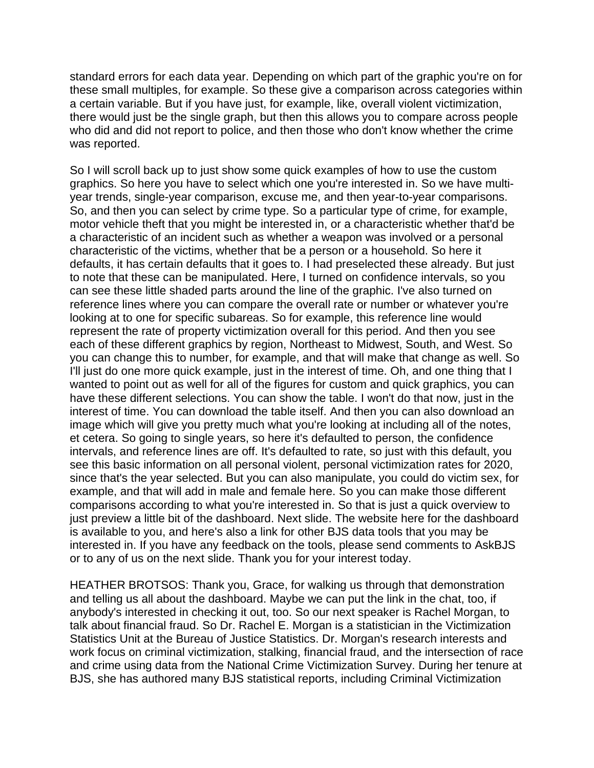standard errors for each data year. Depending on which part of the graphic you're on for these small multiples, for example. So these give a comparison across categories within a certain variable. But if you have just, for example, like, overall violent victimization, there would just be the single graph, but then this allows you to compare across people who did and did not report to police, and then those who don't know whether the crime was reported.

So I will scroll back up to just show some quick examples of how to use the custom graphics. So here you have to select which one you're interested in. So we have multiyear trends, single-year comparison, excuse me, and then year-to-year comparisons. So, and then you can select by crime type. So a particular type of crime, for example, motor vehicle theft that you might be interested in, or a characteristic whether that'd be a characteristic of an incident such as whether a weapon was involved or a personal characteristic of the victims, whether that be a person or a household. So here it defaults, it has certain defaults that it goes to. I had preselected these already. But just to note that these can be manipulated. Here, I turned on confidence intervals, so you can see these little shaded parts around the line of the graphic. I've also turned on reference lines where you can compare the overall rate or number or whatever you're looking at to one for specific subareas. So for example, this reference line would represent the rate of property victimization overall for this period. And then you see each of these different graphics by region, Northeast to Midwest, South, and West. So you can change this to number, for example, and that will make that change as well. So I'll just do one more quick example, just in the interest of time. Oh, and one thing that I wanted to point out as well for all of the figures for custom and quick graphics, you can have these different selections. You can show the table. I won't do that now, just in the interest of time. You can download the table itself. And then you can also download an image which will give you pretty much what you're looking at including all of the notes, et cetera. So going to single years, so here it's defaulted to person, the confidence intervals, and reference lines are off. It's defaulted to rate, so just with this default, you see this basic information on all personal violent, personal victimization rates for 2020, since that's the year selected. But you can also manipulate, you could do victim sex, for example, and that will add in male and female here. So you can make those different comparisons according to what you're interested in. So that is just a quick overview to just preview a little bit of the dashboard. Next slide. The website here for the dashboard is available to you, and here's also a link for other BJS data tools that you may be interested in. If you have any feedback on the tools, please send comments to AskBJS or to any of us on the next slide. Thank you for your interest today.

HEATHER BROTSOS: Thank you, Grace, for walking us through that demonstration and telling us all about the dashboard. Maybe we can put the link in the chat, too, if anybody's interested in checking it out, too. So our next speaker is Rachel Morgan, to talk about financial fraud. So Dr. Rachel E. Morgan is a statistician in the Victimization Statistics Unit at the Bureau of Justice Statistics. Dr. Morgan's research interests and work focus on criminal victimization, stalking, financial fraud, and the intersection of race and crime using data from the National Crime Victimization Survey. During her tenure at BJS, she has authored many BJS statistical reports, including Criminal Victimization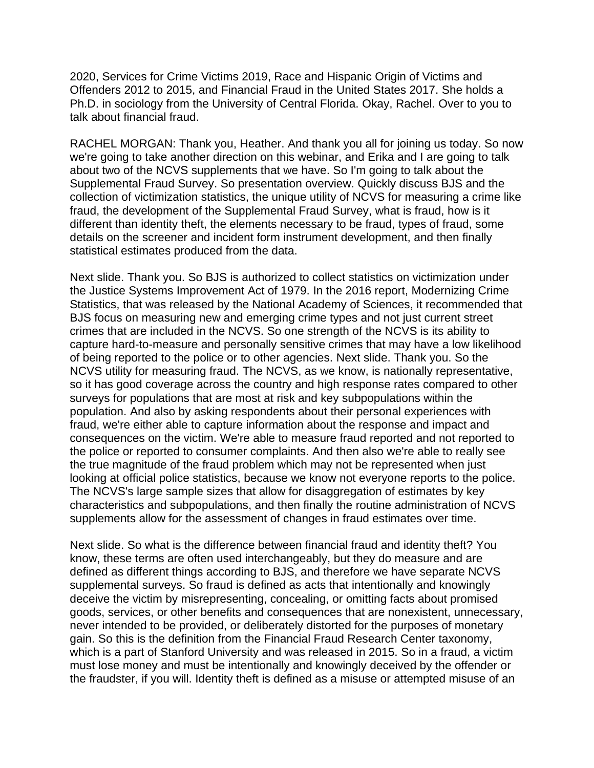2020, Services for Crime Victims 2019, Race and Hispanic Origin of Victims and Offenders 2012 to 2015, and Financial Fraud in the United States 2017. She holds a Ph.D. in sociology from the University of Central Florida. Okay, Rachel. Over to you to talk about financial fraud.

RACHEL MORGAN: Thank you, Heather. And thank you all for joining us today. So now we're going to take another direction on this webinar, and Erika and I are going to talk about two of the NCVS supplements that we have. So I'm going to talk about the Supplemental Fraud Survey. So presentation overview. Quickly discuss BJS and the collection of victimization statistics, the unique utility of NCVS for measuring a crime like fraud, the development of the Supplemental Fraud Survey, what is fraud, how is it different than identity theft, the elements necessary to be fraud, types of fraud, some details on the screener and incident form instrument development, and then finally statistical estimates produced from the data.

Next slide. Thank you. So BJS is authorized to collect statistics on victimization under the Justice Systems Improvement Act of 1979. In the 2016 report, Modernizing Crime Statistics, that was released by the National Academy of Sciences, it recommended that BJS focus on measuring new and emerging crime types and not just current street crimes that are included in the NCVS. So one strength of the NCVS is its ability to capture hard-to-measure and personally sensitive crimes that may have a low likelihood of being reported to the police or to other agencies. Next slide. Thank you. So the NCVS utility for measuring fraud. The NCVS, as we know, is nationally representative, so it has good coverage across the country and high response rates compared to other surveys for populations that are most at risk and key subpopulations within the population. And also by asking respondents about their personal experiences with fraud, we're either able to capture information about the response and impact and consequences on the victim. We're able to measure fraud reported and not reported to the police or reported to consumer complaints. And then also we're able to really see the true magnitude of the fraud problem which may not be represented when just looking at official police statistics, because we know not everyone reports to the police. The NCVS's large sample sizes that allow for disaggregation of estimates by key characteristics and subpopulations, and then finally the routine administration of NCVS supplements allow for the assessment of changes in fraud estimates over time.

Next slide. So what is the difference between financial fraud and identity theft? You know, these terms are often used interchangeably, but they do measure and are defined as different things according to BJS, and therefore we have separate NCVS supplemental surveys. So fraud is defined as acts that intentionally and knowingly deceive the victim by misrepresenting, concealing, or omitting facts about promised goods, services, or other benefits and consequences that are nonexistent, unnecessary, never intended to be provided, or deliberately distorted for the purposes of monetary gain. So this is the definition from the Financial Fraud Research Center taxonomy, which is a part of Stanford University and was released in 2015. So in a fraud, a victim must lose money and must be intentionally and knowingly deceived by the offender or the fraudster, if you will. Identity theft is defined as a misuse or attempted misuse of an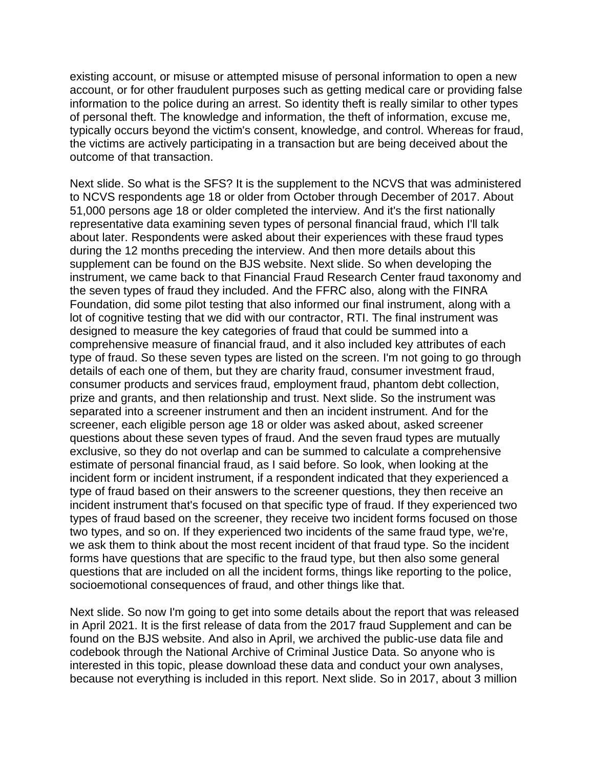existing account, or misuse or attempted misuse of personal information to open a new account, or for other fraudulent purposes such as getting medical care or providing false information to the police during an arrest. So identity theft is really similar to other types of personal theft. The knowledge and information, the theft of information, excuse me, typically occurs beyond the victim's consent, knowledge, and control. Whereas for fraud, the victims are actively participating in a transaction but are being deceived about the outcome of that transaction.

Next slide. So what is the SFS? It is the supplement to the NCVS that was administered to NCVS respondents age 18 or older from October through December of 2017. About 51,000 persons age 18 or older completed the interview. And it's the first nationally representative data examining seven types of personal financial fraud, which I'll talk about later. Respondents were asked about their experiences with these fraud types during the 12 months preceding the interview. And then more details about this supplement can be found on the BJS website. Next slide. So when developing the instrument, we came back to that Financial Fraud Research Center fraud taxonomy and the seven types of fraud they included. And the FFRC also, along with the FINRA Foundation, did some pilot testing that also informed our final instrument, along with a lot of cognitive testing that we did with our contractor, RTI. The final instrument was designed to measure the key categories of fraud that could be summed into a comprehensive measure of financial fraud, and it also included key attributes of each type of fraud. So these seven types are listed on the screen. I'm not going to go through details of each one of them, but they are charity fraud, consumer investment fraud, consumer products and services fraud, employment fraud, phantom debt collection, prize and grants, and then relationship and trust. Next slide. So the instrument was separated into a screener instrument and then an incident instrument. And for the screener, each eligible person age 18 or older was asked about, asked screener questions about these seven types of fraud. And the seven fraud types are mutually exclusive, so they do not overlap and can be summed to calculate a comprehensive estimate of personal financial fraud, as I said before. So look, when looking at the incident form or incident instrument, if a respondent indicated that they experienced a type of fraud based on their answers to the screener questions, they then receive an incident instrument that's focused on that specific type of fraud. If they experienced two types of fraud based on the screener, they receive two incident forms focused on those two types, and so on. If they experienced two incidents of the same fraud type, we're, we ask them to think about the most recent incident of that fraud type. So the incident forms have questions that are specific to the fraud type, but then also some general questions that are included on all the incident forms, things like reporting to the police, socioemotional consequences of fraud, and other things like that.

Next slide. So now I'm going to get into some details about the report that was released in April 2021. It is the first release of data from the 2017 fraud Supplement and can be found on the BJS website. And also in April, we archived the public-use data file and codebook through the National Archive of Criminal Justice Data. So anyone who is interested in this topic, please download these data and conduct your own analyses, because not everything is included in this report. Next slide. So in 2017, about 3 million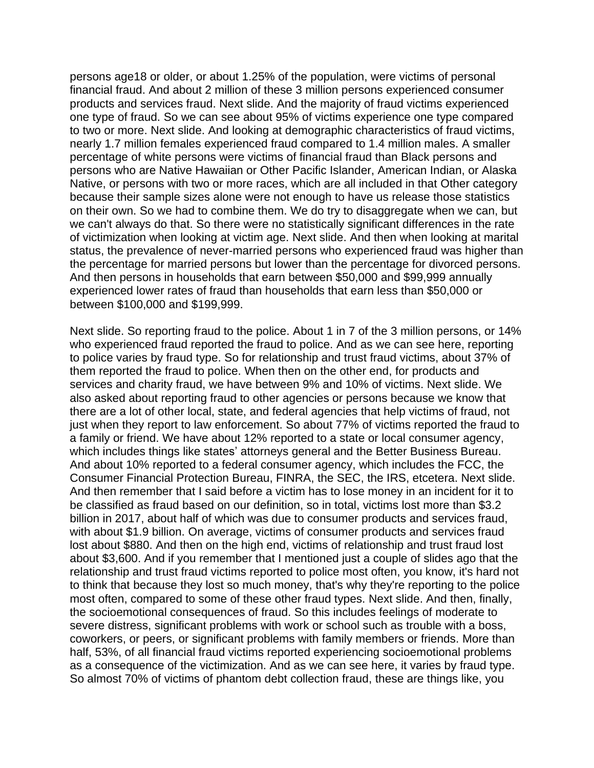persons age18 or older, or about 1.25% of the population, were victims of personal financial fraud. And about 2 million of these 3 million persons experienced consumer products and services fraud. Next slide. And the majority of fraud victims experienced one type of fraud. So we can see about 95% of victims experience one type compared to two or more. Next slide. And looking at demographic characteristics of fraud victims, nearly 1.7 million females experienced fraud compared to 1.4 million males. A smaller percentage of white persons were victims of financial fraud than Black persons and persons who are Native Hawaiian or Other Pacific Islander, American Indian, or Alaska Native, or persons with two or more races, which are all included in that Other category because their sample sizes alone were not enough to have us release those statistics on their own. So we had to combine them. We do try to disaggregate when we can, but we can't always do that. So there were no statistically significant differences in the rate of victimization when looking at victim age. Next slide. And then when looking at marital status, the prevalence of never-married persons who experienced fraud was higher than the percentage for married persons but lower than the percentage for divorced persons. And then persons in households that earn between \$50,000 and \$99,999 annually experienced lower rates of fraud than households that earn less than \$50,000 or between \$100,000 and \$199,999.

Next slide. So reporting fraud to the police. About 1 in 7 of the 3 million persons, or 14% who experienced fraud reported the fraud to police. And as we can see here, reporting to police varies by fraud type. So for relationship and trust fraud victims, about 37% of them reported the fraud to police. When then on the other end, for products and services and charity fraud, we have between 9% and 10% of victims. Next slide. We also asked about reporting fraud to other agencies or persons because we know that there are a lot of other local, state, and federal agencies that help victims of fraud, not just when they report to law enforcement. So about 77% of victims reported the fraud to a family or friend. We have about 12% reported to a state or local consumer agency, which includes things like states' attorneys general and the Better Business Bureau. And about 10% reported to a federal consumer agency, which includes the FCC, the Consumer Financial Protection Bureau, FINRA, the SEC, the IRS, etcetera. Next slide. And then remember that I said before a victim has to lose money in an incident for it to be classified as fraud based on our definition, so in total, victims lost more than \$3.2 billion in 2017, about half of which was due to consumer products and services fraud, with about \$1.9 billion. On average, victims of consumer products and services fraud lost about \$880. And then on the high end, victims of relationship and trust fraud lost about \$3,600. And if you remember that I mentioned just a couple of slides ago that the relationship and trust fraud victims reported to police most often, you know, it's hard not to think that because they lost so much money, that's why they're reporting to the police most often, compared to some of these other fraud types. Next slide. And then, finally, the socioemotional consequences of fraud. So this includes feelings of moderate to severe distress, significant problems with work or school such as trouble with a boss, coworkers, or peers, or significant problems with family members or friends. More than half, 53%, of all financial fraud victims reported experiencing socioemotional problems as a consequence of the victimization. And as we can see here, it varies by fraud type. So almost 70% of victims of phantom debt collection fraud, these are things like, you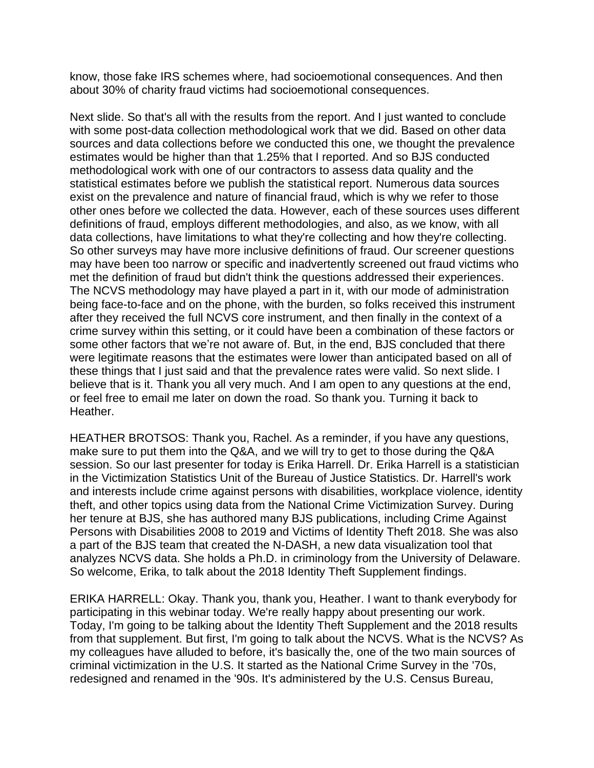know, those fake IRS schemes where, had socioemotional consequences. And then about 30% of charity fraud victims had socioemotional consequences.

Next slide. So that's all with the results from the report. And I just wanted to conclude with some post-data collection methodological work that we did. Based on other data sources and data collections before we conducted this one, we thought the prevalence estimates would be higher than that 1.25% that I reported. And so BJS conducted methodological work with one of our contractors to assess data quality and the statistical estimates before we publish the statistical report. Numerous data sources exist on the prevalence and nature of financial fraud, which is why we refer to those other ones before we collected the data. However, each of these sources uses different definitions of fraud, employs different methodologies, and also, as we know, with all data collections, have limitations to what they're collecting and how they're collecting. So other surveys may have more inclusive definitions of fraud. Our screener questions may have been too narrow or specific and inadvertently screened out fraud victims who met the definition of fraud but didn't think the questions addressed their experiences. The NCVS methodology may have played a part in it, with our mode of administration being face-to-face and on the phone, with the burden, so folks received this instrument after they received the full NCVS core instrument, and then finally in the context of a crime survey within this setting, or it could have been a combination of these factors or some other factors that we're not aware of. But, in the end, BJS concluded that there were legitimate reasons that the estimates were lower than anticipated based on all of these things that I just said and that the prevalence rates were valid. So next slide. I believe that is it. Thank you all very much. And I am open to any questions at the end, or feel free to email me later on down the road. So thank you. Turning it back to Heather.

HEATHER BROTSOS: Thank you, Rachel. As a reminder, if you have any questions, make sure to put them into the Q&A, and we will try to get to those during the Q&A session. So our last presenter for today is Erika Harrell. Dr. Erika Harrell is a statistician in the Victimization Statistics Unit of the Bureau of Justice Statistics. Dr. Harrell's work and interests include crime against persons with disabilities, workplace violence, identity theft, and other topics using data from the National Crime Victimization Survey. During her tenure at BJS, she has authored many BJS publications, including Crime Against Persons with Disabilities 2008 to 2019 and Victims of Identity Theft 2018. She was also a part of the BJS team that created the N-DASH, a new data visualization tool that analyzes NCVS data. She holds a Ph.D. in criminology from the University of Delaware. So welcome, Erika, to talk about the 2018 Identity Theft Supplement findings.

ERIKA HARRELL: Okay. Thank you, thank you, Heather. I want to thank everybody for participating in this webinar today. We're really happy about presenting our work. Today, I'm going to be talking about the Identity Theft Supplement and the 2018 results from that supplement. But first, I'm going to talk about the NCVS. What is the NCVS? As my colleagues have alluded to before, it's basically the, one of the two main sources of criminal victimization in the U.S. It started as the National Crime Survey in the '70s, redesigned and renamed in the '90s. It's administered by the U.S. Census Bureau,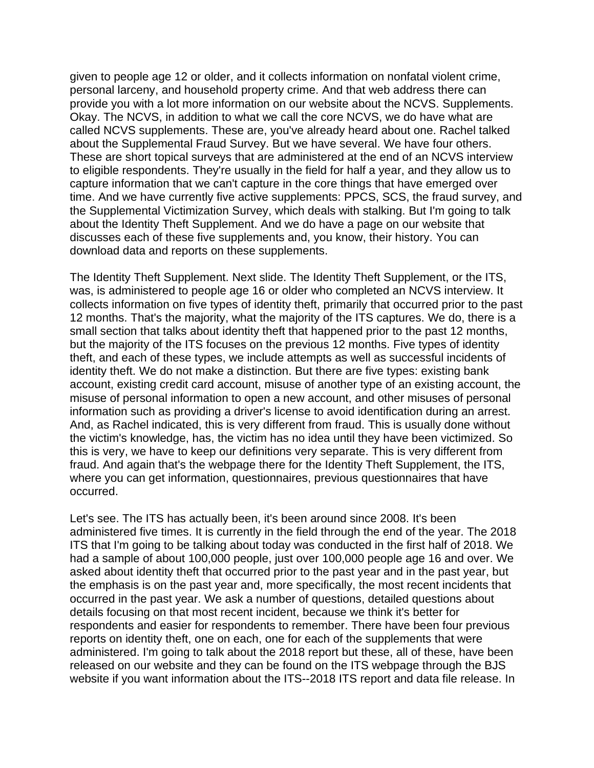given to people age 12 or older, and it collects information on nonfatal violent crime, personal larceny, and household property crime. And that web address there can provide you with a lot more information on our website about the NCVS. Supplements. Okay. The NCVS, in addition to what we call the core NCVS, we do have what are called NCVS supplements. These are, you've already heard about one. Rachel talked about the Supplemental Fraud Survey. But we have several. We have four others. These are short topical surveys that are administered at the end of an NCVS interview to eligible respondents. They're usually in the field for half a year, and they allow us to capture information that we can't capture in the core things that have emerged over time. And we have currently five active supplements: PPCS, SCS, the fraud survey, and the Supplemental Victimization Survey, which deals with stalking. But I'm going to talk about the Identity Theft Supplement. And we do have a page on our website that discusses each of these five supplements and, you know, their history. You can download data and reports on these supplements.

The Identity Theft Supplement. Next slide. The Identity Theft Supplement, or the ITS, was, is administered to people age 16 or older who completed an NCVS interview. It collects information on five types of identity theft, primarily that occurred prior to the past 12 months. That's the majority, what the majority of the ITS captures. We do, there is a small section that talks about identity theft that happened prior to the past 12 months, but the majority of the ITS focuses on the previous 12 months. Five types of identity theft, and each of these types, we include attempts as well as successful incidents of identity theft. We do not make a distinction. But there are five types: existing bank account, existing credit card account, misuse of another type of an existing account, the misuse of personal information to open a new account, and other misuses of personal information such as providing a driver's license to avoid identification during an arrest. And, as Rachel indicated, this is very different from fraud. This is usually done without the victim's knowledge, has, the victim has no idea until they have been victimized. So this is very, we have to keep our definitions very separate. This is very different from fraud. And again that's the webpage there for the Identity Theft Supplement, the ITS, where you can get information, questionnaires, previous questionnaires that have occurred.

Let's see. The ITS has actually been, it's been around since 2008. It's been administered five times. It is currently in the field through the end of the year. The 2018 ITS that I'm going to be talking about today was conducted in the first half of 2018. We had a sample of about 100,000 people, just over 100,000 people age 16 and over. We asked about identity theft that occurred prior to the past year and in the past year, but the emphasis is on the past year and, more specifically, the most recent incidents that occurred in the past year. We ask a number of questions, detailed questions about details focusing on that most recent incident, because we think it's better for respondents and easier for respondents to remember. There have been four previous reports on identity theft, one on each, one for each of the supplements that were administered. I'm going to talk about the 2018 report but these, all of these, have been released on our website and they can be found on the ITS webpage through the BJS website if you want information about the ITS--2018 ITS report and data file release. In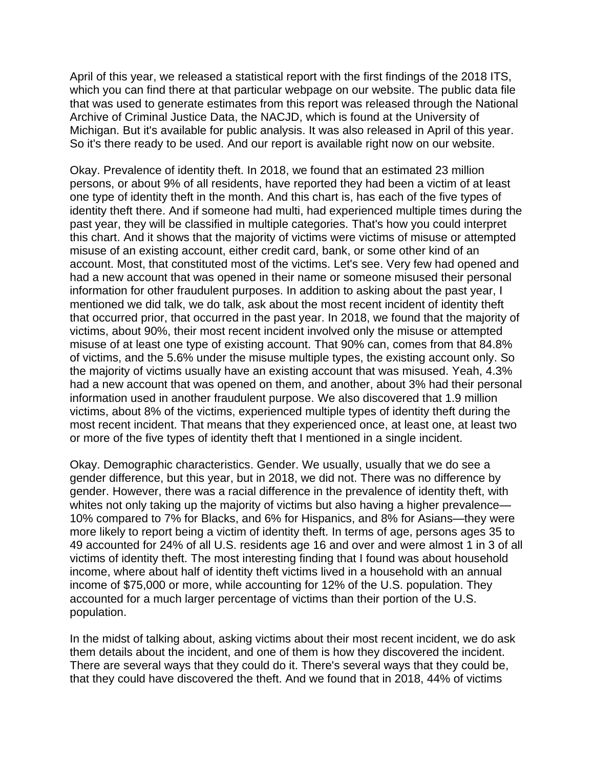April of this year, we released a statistical report with the first findings of the 2018 ITS, which you can find there at that particular webpage on our website. The public data file that was used to generate estimates from this report was released through the National Archive of Criminal Justice Data, the NACJD, which is found at the University of Michigan. But it's available for public analysis. It was also released in April of this year. So it's there ready to be used. And our report is available right now on our website.

Okay. Prevalence of identity theft. In 2018, we found that an estimated 23 million persons, or about 9% of all residents, have reported they had been a victim of at least one type of identity theft in the month. And this chart is, has each of the five types of identity theft there. And if someone had multi, had experienced multiple times during the past year, they will be classified in multiple categories. That's how you could interpret this chart. And it shows that the majority of victims were victims of misuse or attempted misuse of an existing account, either credit card, bank, or some other kind of an account. Most, that constituted most of the victims. Let's see. Very few had opened and had a new account that was opened in their name or someone misused their personal information for other fraudulent purposes. In addition to asking about the past year, I mentioned we did talk, we do talk, ask about the most recent incident of identity theft that occurred prior, that occurred in the past year. In 2018, we found that the majority of victims, about 90%, their most recent incident involved only the misuse or attempted misuse of at least one type of existing account. That 90% can, comes from that 84.8% of victims, and the 5.6% under the misuse multiple types, the existing account only. So the majority of victims usually have an existing account that was misused. Yeah, 4.3% had a new account that was opened on them, and another, about 3% had their personal information used in another fraudulent purpose. We also discovered that 1.9 million victims, about 8% of the victims, experienced multiple types of identity theft during the most recent incident. That means that they experienced once, at least one, at least two or more of the five types of identity theft that I mentioned in a single incident.

Okay. Demographic characteristics. Gender. We usually, usually that we do see a gender difference, but this year, but in 2018, we did not. There was no difference by gender. However, there was a racial difference in the prevalence of identity theft, with whites not only taking up the majority of victims but also having a higher prevalence— 10% compared to 7% for Blacks, and 6% for Hispanics, and 8% for Asians—they were more likely to report being a victim of identity theft. In terms of age, persons ages 35 to 49 accounted for 24% of all U.S. residents age 16 and over and were almost 1 in 3 of all victims of identity theft. The most interesting finding that I found was about household income, where about half of identity theft victims lived in a household with an annual income of \$75,000 or more, while accounting for 12% of the U.S. population. They accounted for a much larger percentage of victims than their portion of the U.S. population.

In the midst of talking about, asking victims about their most recent incident, we do ask them details about the incident, and one of them is how they discovered the incident. There are several ways that they could do it. There's several ways that they could be, that they could have discovered the theft. And we found that in 2018, 44% of victims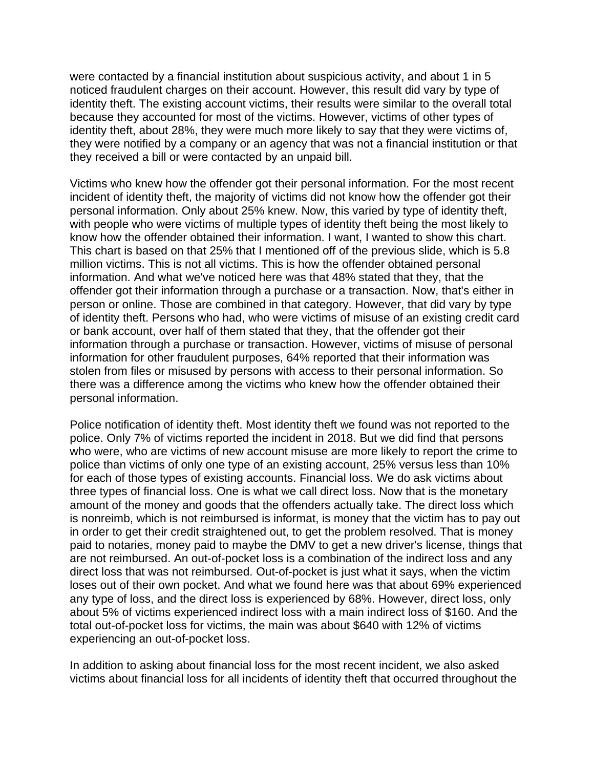were contacted by a financial institution about suspicious activity, and about 1 in 5 noticed fraudulent charges on their account. However, this result did vary by type of identity theft. The existing account victims, their results were similar to the overall total because they accounted for most of the victims. However, victims of other types of identity theft, about 28%, they were much more likely to say that they were victims of, they were notified by a company or an agency that was not a financial institution or that they received a bill or were contacted by an unpaid bill.

Victims who knew how the offender got their personal information. For the most recent incident of identity theft, the majority of victims did not know how the offender got their personal information. Only about 25% knew. Now, this varied by type of identity theft, with people who were victims of multiple types of identity theft being the most likely to know how the offender obtained their information. I want, I wanted to show this chart. This chart is based on that 25% that I mentioned off of the previous slide, which is 5.8 million victims. This is not all victims. This is how the offender obtained personal information. And what we've noticed here was that 48% stated that they, that the offender got their information through a purchase or a transaction. Now, that's either in person or online. Those are combined in that category. However, that did vary by type of identity theft. Persons who had, who were victims of misuse of an existing credit card or bank account, over half of them stated that they, that the offender got their information through a purchase or transaction. However, victims of misuse of personal information for other fraudulent purposes, 64% reported that their information was stolen from files or misused by persons with access to their personal information. So there was a difference among the victims who knew how the offender obtained their personal information.

Police notification of identity theft. Most identity theft we found was not reported to the police. Only 7% of victims reported the incident in 2018. But we did find that persons who were, who are victims of new account misuse are more likely to report the crime to police than victims of only one type of an existing account, 25% versus less than 10% for each of those types of existing accounts. Financial loss. We do ask victims about three types of financial loss. One is what we call direct loss. Now that is the monetary amount of the money and goods that the offenders actually take. The direct loss which is nonreimb, which is not reimbursed is informat, is money that the victim has to pay out in order to get their credit straightened out, to get the problem resolved. That is money paid to notaries, money paid to maybe the DMV to get a new driver's license, things that are not reimbursed. An out-of-pocket loss is a combination of the indirect loss and any direct loss that was not reimbursed. Out-of-pocket is just what it says, when the victim loses out of their own pocket. And what we found here was that about 69% experienced any type of loss, and the direct loss is experienced by 68%. However, direct loss, only about 5% of victims experienced indirect loss with a main indirect loss of \$160. And the total out-of-pocket loss for victims, the main was about \$640 with 12% of victims experiencing an out-of-pocket loss.

In addition to asking about financial loss for the most recent incident, we also asked victims about financial loss for all incidents of identity theft that occurred throughout the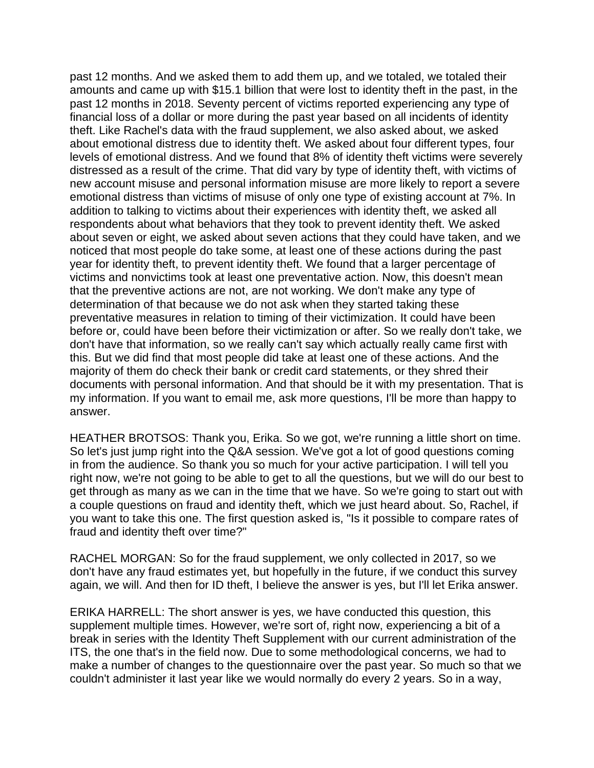past 12 months. And we asked them to add them up, and we totaled, we totaled their amounts and came up with \$15.1 billion that were lost to identity theft in the past, in the past 12 months in 2018. Seventy percent of victims reported experiencing any type of financial loss of a dollar or more during the past year based on all incidents of identity theft. Like Rachel's data with the fraud supplement, we also asked about, we asked about emotional distress due to identity theft. We asked about four different types, four levels of emotional distress. And we found that 8% of identity theft victims were severely distressed as a result of the crime. That did vary by type of identity theft, with victims of new account misuse and personal information misuse are more likely to report a severe emotional distress than victims of misuse of only one type of existing account at 7%. In addition to talking to victims about their experiences with identity theft, we asked all respondents about what behaviors that they took to prevent identity theft. We asked about seven or eight, we asked about seven actions that they could have taken, and we noticed that most people do take some, at least one of these actions during the past year for identity theft, to prevent identity theft. We found that a larger percentage of victims and nonvictims took at least one preventative action. Now, this doesn't mean that the preventive actions are not, are not working. We don't make any type of determination of that because we do not ask when they started taking these preventative measures in relation to timing of their victimization. It could have been before or, could have been before their victimization or after. So we really don't take, we don't have that information, so we really can't say which actually really came first with this. But we did find that most people did take at least one of these actions. And the majority of them do check their bank or credit card statements, or they shred their documents with personal information. And that should be it with my presentation. That is my information. If you want to email me, ask more questions, I'll be more than happy to answer.

HEATHER BROTSOS: Thank you, Erika. So we got, we're running a little short on time. So let's just jump right into the Q&A session. We've got a lot of good questions coming in from the audience. So thank you so much for your active participation. I will tell you right now, we're not going to be able to get to all the questions, but we will do our best to get through as many as we can in the time that we have. So we're going to start out with a couple questions on fraud and identity theft, which we just heard about. So, Rachel, if you want to take this one. The first question asked is, "Is it possible to compare rates of fraud and identity theft over time?"

RACHEL MORGAN: So for the fraud supplement, we only collected in 2017, so we don't have any fraud estimates yet, but hopefully in the future, if we conduct this survey again, we will. And then for ID theft, I believe the answer is yes, but I'll let Erika answer.

ERIKA HARRELL: The short answer is yes, we have conducted this question, this supplement multiple times. However, we're sort of, right now, experiencing a bit of a break in series with the Identity Theft Supplement with our current administration of the ITS, the one that's in the field now. Due to some methodological concerns, we had to make a number of changes to the questionnaire over the past year. So much so that we couldn't administer it last year like we would normally do every 2 years. So in a way,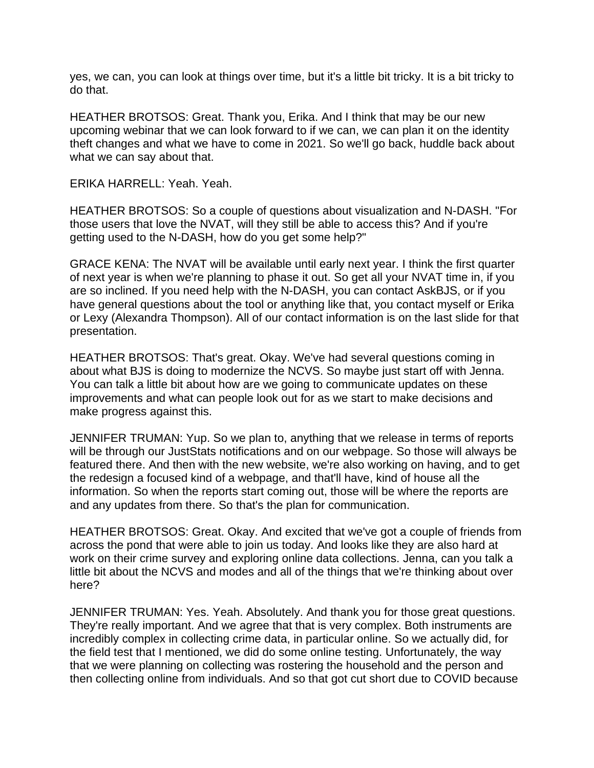yes, we can, you can look at things over time, but it's a little bit tricky. It is a bit tricky to do that.

HEATHER BROTSOS: Great. Thank you, Erika. And I think that may be our new upcoming webinar that we can look forward to if we can, we can plan it on the identity theft changes and what we have to come in 2021. So we'll go back, huddle back about what we can say about that.

ERIKA HARRELL: Yeah. Yeah.

HEATHER BROTSOS: So a couple of questions about visualization and N-DASH. "For those users that love the NVAT, will they still be able to access this? And if you're getting used to the N-DASH, how do you get some help?"

GRACE KENA: The NVAT will be available until early next year. I think the first quarter of next year is when we're planning to phase it out. So get all your NVAT time in, if you are so inclined. If you need help with the N-DASH, you can contact AskBJS, or if you have general questions about the tool or anything like that, you contact myself or Erika or Lexy (Alexandra Thompson). All of our contact information is on the last slide for that presentation.

HEATHER BROTSOS: That's great. Okay. We've had several questions coming in about what BJS is doing to modernize the NCVS. So maybe just start off with Jenna. You can talk a little bit about how are we going to communicate updates on these improvements and what can people look out for as we start to make decisions and make progress against this.

JENNIFER TRUMAN: Yup. So we plan to, anything that we release in terms of reports will be through our JustStats notifications and on our webpage. So those will always be featured there. And then with the new website, we're also working on having, and to get the redesign a focused kind of a webpage, and that'll have, kind of house all the information. So when the reports start coming out, those will be where the reports are and any updates from there. So that's the plan for communication.

HEATHER BROTSOS: Great. Okay. And excited that we've got a couple of friends from across the pond that were able to join us today. And looks like they are also hard at work on their crime survey and exploring online data collections. Jenna, can you talk a little bit about the NCVS and modes and all of the things that we're thinking about over here?

JENNIFER TRUMAN: Yes. Yeah. Absolutely. And thank you for those great questions. They're really important. And we agree that that is very complex. Both instruments are incredibly complex in collecting crime data, in particular online. So we actually did, for the field test that I mentioned, we did do some online testing. Unfortunately, the way that we were planning on collecting was rostering the household and the person and then collecting online from individuals. And so that got cut short due to COVID because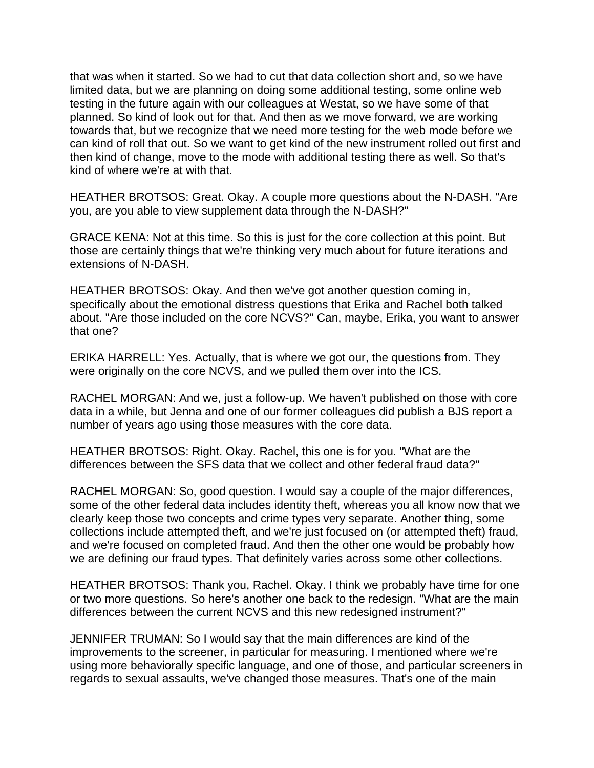that was when it started. So we had to cut that data collection short and, so we have limited data, but we are planning on doing some additional testing, some online web testing in the future again with our colleagues at Westat, so we have some of that planned. So kind of look out for that. And then as we move forward, we are working towards that, but we recognize that we need more testing for the web mode before we can kind of roll that out. So we want to get kind of the new instrument rolled out first and then kind of change, move to the mode with additional testing there as well. So that's kind of where we're at with that.

HEATHER BROTSOS: Great. Okay. A couple more questions about the N-DASH. "Are you, are you able to view supplement data through the N-DASH?"

GRACE KENA: Not at this time. So this is just for the core collection at this point. But those are certainly things that we're thinking very much about for future iterations and extensions of N-DASH.

HEATHER BROTSOS: Okay. And then we've got another question coming in, specifically about the emotional distress questions that Erika and Rachel both talked about. "Are those included on the core NCVS?" Can, maybe, Erika, you want to answer that one?

ERIKA HARRELL: Yes. Actually, that is where we got our, the questions from. They were originally on the core NCVS, and we pulled them over into the ICS.

RACHEL MORGAN: And we, just a follow-up. We haven't published on those with core data in a while, but Jenna and one of our former colleagues did publish a BJS report a number of years ago using those measures with the core data.

HEATHER BROTSOS: Right. Okay. Rachel, this one is for you. "What are the differences between the SFS data that we collect and other federal fraud data?"

RACHEL MORGAN: So, good question. I would say a couple of the major differences, some of the other federal data includes identity theft, whereas you all know now that we clearly keep those two concepts and crime types very separate. Another thing, some collections include attempted theft, and we're just focused on (or attempted theft) fraud, and we're focused on completed fraud. And then the other one would be probably how we are defining our fraud types. That definitely varies across some other collections.

HEATHER BROTSOS: Thank you, Rachel. Okay. I think we probably have time for one or two more questions. So here's another one back to the redesign. "What are the main differences between the current NCVS and this new redesigned instrument?"

JENNIFER TRUMAN: So I would say that the main differences are kind of the improvements to the screener, in particular for measuring. I mentioned where we're using more behaviorally specific language, and one of those, and particular screeners in regards to sexual assaults, we've changed those measures. That's one of the main